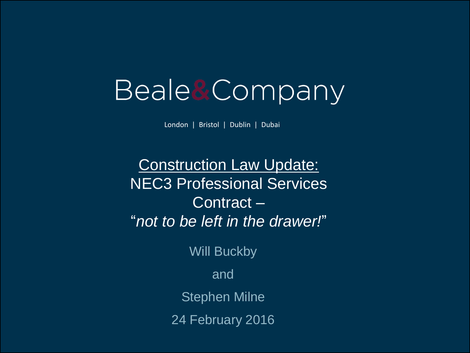# Beale&Company

London | Bristol | Dublin | Dubai

Construction Law Update: NEC3 Professional Services Contract – "*not to be left in the drawer!*"

Will Buckby

and

Stephen Milne

24 February 2016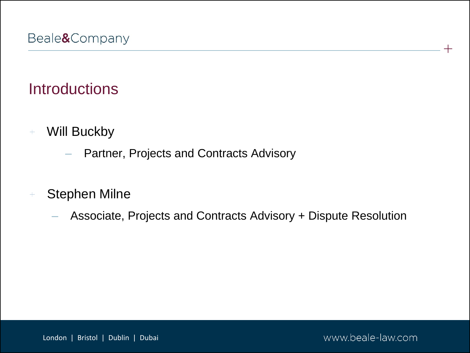# **Introductions**

- Will Buckby  $\pm$ 
	- Partner, Projects and Contracts Advisory
- Stephen Milne  $\pm$ 
	- Associate, Projects and Contracts Advisory + Dispute Resolution

www.beale-law.com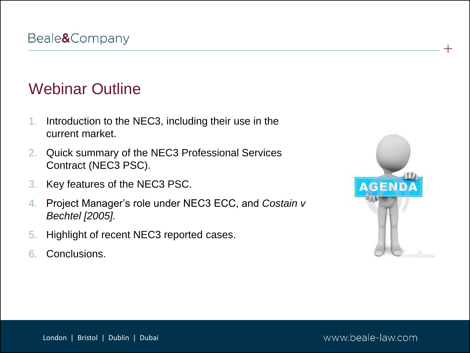#### Webinar Outline

- 1. Introduction to the NEC3, including their use in the current market.
- 2. Quick summary of the NEC3 Professional Services Contract (NEC3 PSC).
- 3. Key features of the NEC3 PSC.
- 4. Project Manager's role under NEC3 ECC, and *Costain v Bechtel [2005].*
- 5. Highlight of recent NEC3 reported cases.
- 6. Conclusions.



 $+$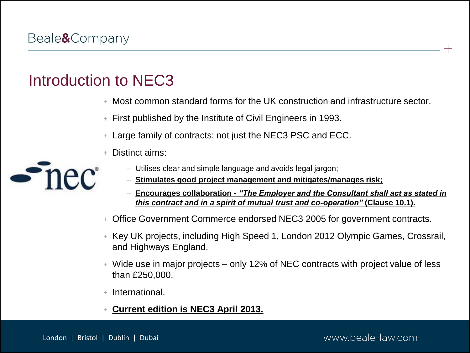# Introduction to NEC3

- Most common standard forms for the UK construction and infrastructure sector.
- First published by the Institute of Civil Engineers in 1993.
- Large family of contracts: not just the NEC3 PSC and ECC.
- Distinct aims:



- Utilises clear and simple language and avoids legal jargon;
- **Stimulates good project management and mitigates/manages risk;**
- **Encourages collaboration -** *"The Employer and the Consultant shall act as stated in this contract and in a spirit of mutual trust and co-operation"* **(Clause 10.1).**
- Office Government Commerce endorsed NEC3 2005 for government contracts.
- Key UK projects, including High Speed 1, London 2012 Olympic Games, Crossrail, and Highways England.
- Wide use in major projects only 12% of NEC contracts with project value of less than £250,000.
- International.
- **Current edition is NEC3 April 2013.**

#### www.beale-law.com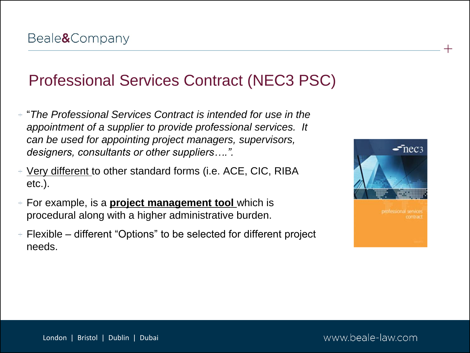# Professional Services Contract (NEC3 PSC)

- "*The Professional Services Contract is intended for use in the appointment of a supplier to provide professional services. It can be used for appointing project managers, supervisors, designers, consultants or other suppliers….".*
- Very different to other standard forms (i.e. ACE, CIC, RIBA etc.).
- For example, is a **project management tool** which is procedural along with a higher administrative burden.
- $+$  Flexible different "Options" to be selected for different project needs.

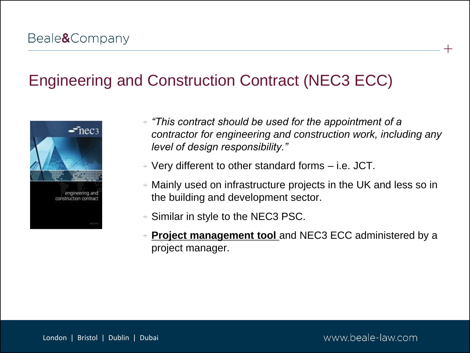# Engineering and Construction Contract (NEC3 ECC)



- *"This contract should be used for the appointment of a contractor for engineering and construction work, including any level of design responsibility."*
- $+$  Very different to other standard forms  $-$  i.e. JCT.
- Mainly used on infrastructure projects in the UK and less so in the building and development sector.
- $+$  Similar in style to the NEC3 PSC.
- **Project management tool and NEC3 ECC administered by a** project manager.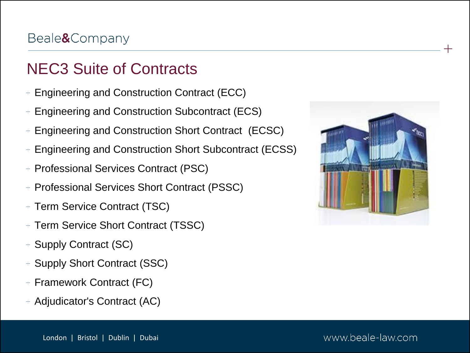# NEC3 Suite of Contracts

- Engineering and Construction Contract (ECC)  $\pm$
- Engineering and Construction Subcontract (ECS)
- Engineering and Construction Short Contract (ECSC)
- Engineering and Construction Short Subcontract (ECSS)
- Professional Services Contract (PSC)  $\pm$
- Professional Services Short Contract (PSSC)
- + Term Service Contract (TSC)
- Term Service Short Contract (TSSC)  $\color{red}+$
- + Supply Contract (SC)
- + Supply Short Contract (SSC)
- + Framework Contract (FC)
- Adjudicator's Contract (AC)



 $+$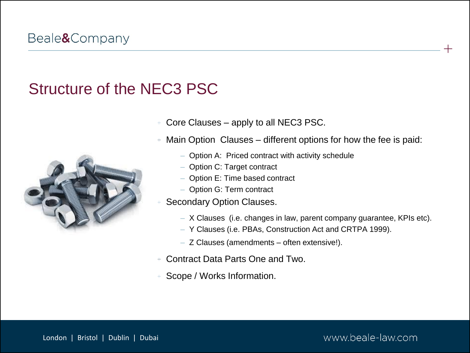#### Structure of the NEC3 PSC



- Core Clauses apply to all NEC3 PSC.
- Main Option Clauses different options for how the fee is paid:
	- Option A: Priced contract with activity schedule
	- Option C: Target contract
	- Option E: Time based contract
	- Option G: Term contract
- Secondary Option Clauses.
	- X Clauses (i.e. changes in law, parent company guarantee, KPIs etc).
	- Y Clauses (i.e. PBAs, Construction Act and CRTPA 1999).
	- Z Clauses (amendments often extensive!).
- Contract Data Parts One and Two.
- Scope / Works Information.

www.beale-law.com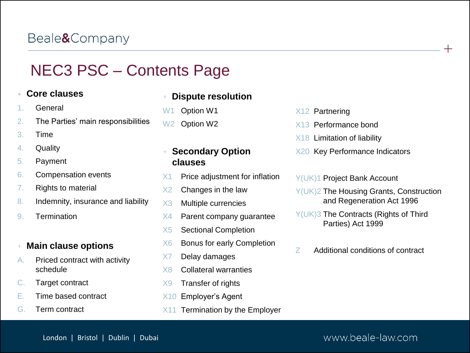# NEC3 PSC – Contents Page

#### **Core clauses**

- 1. General
- 2. The Parties' main responsibilities
- 3. Time
- 4. Quality
- 5. Payment
- 6. Compensation events
- 7. Rights to material
- 8. Indemnity, insurance and liability
- 9. Termination

#### **Main clause options**

- A. Priced contract with activity schedule
- C. Target contract
- E. Time based contract
- G. Term contract

#### **Dispute resolution**

- W<sub>1</sub> Option W<sub>1</sub>
- W<sub>2</sub> Option W<sub>2</sub>

#### **Secondary Option clauses**

- $X1$  Price adjustment for inflation
- X2 Changes in the law
- X3 Multiple currencies
- X4 Parent company guarantee
- X5 Sectional Completion
- X6 Bonus for early Completion
- X7 Delay damages
- X8 Collateral warranties
- X9 Transfer of rights
- X10 Employer's Agent
- X11 Termination by the Employer

#### X12 Partnering

- X13 Performance bond
- X18 Limitation of liability
- X20 Key Performance Indicators

#### Y(UK)1 Project Bank Account

Y(UK)2 The Housing Grants, Construction and Regeneration Act 1996

 $+$ 

- Y(UK)3 The Contracts (Rights of Third Parties) Act 1999
- Z Additional conditions of contract

#### London | Bristol | Dublin | Dubai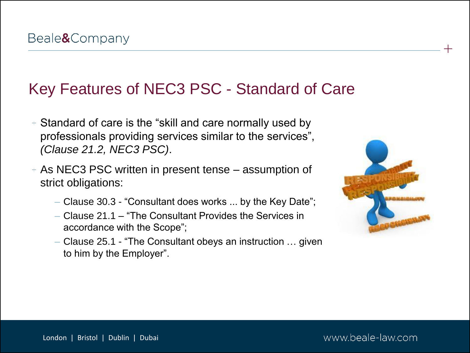#### Key Features of NEC3 PSC - Standard of Care

- Standard of care is the "skill and care normally used by professionals providing services similar to the services", *(Clause 21.2, NEC3 PSC)*.
- As NEC3 PSC written in present tense assumption of strict obligations:
	- Clause 30.3 "Consultant does works ... by the Key Date";
	- Clause 21.1 "The Consultant Provides the Services in accordance with the Scope";
	- Clause 25.1 "The Consultant obeys an instruction … given to him by the Employer".



 $+$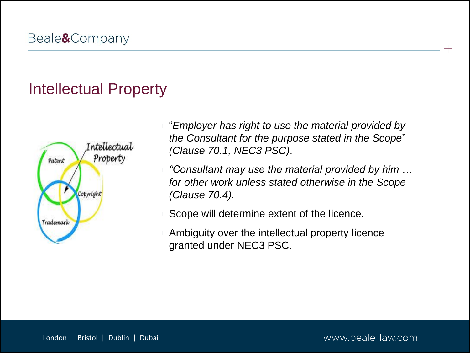# Intellectual Property



- "*Employer has right to use the material provided by the Consultant for the purpose stated in the Scope*" *(Clause 70.1, NEC3 PSC)*.
- *"Consultant may use the material provided by him … for other work unless stated otherwise in the Scope (Clause 70.4).*
- Scope will determine extent of the licence.  $+$
- Ambiguity over the intellectual property licence granted under NEC3 PSC.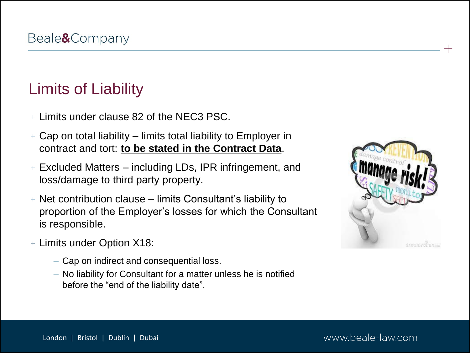# Limits of Liability

- $+$  Limits under clause 82 of the NEC3 PSC.
- $+$  Cap on total liability limits total liability to Employer in contract and tort: **to be stated in the Contract Data**.
- $+$  Excluded Matters  $-$  including LDs, IPR infringement, and loss/damage to third party property.
- $+$  Net contribution clause limits Consultant's liability to proportion of the Employer's losses for which the Consultant is responsible.
- Limits under Option X18:
	- Cap on indirect and consequential loss.
	- No liability for Consultant for a matter unless he is notified before the "end of the liability date".



 $+$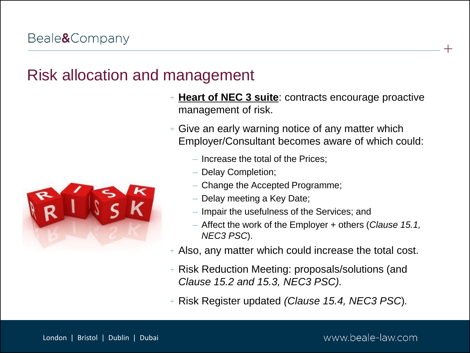#### Risk allocation and management

- **Heart of NEC 3 suite**: contracts encourage proactive management of risk.
- Give an early warning notice of any matter which Employer/Consultant becomes aware of which could:
	- Increase the total of the Prices;
	- Delay Completion;
	- Change the Accepted Programme;
	- Delay meeting a Key Date;
	- Impair the usefulness of the Services; and
	- Affect the work of the Employer + others (*Clause 15.1, NEC3 PSC*).
- Also, any matter which could increase the total cost.
- Risk Reduction Meeting: proposals/solutions (and *Clause 15.2 and 15.3, NEC3 PSC).*
- Risk Register updated *(Clause 15.4, NEC3 PSC*)*.*

www.beale-law.com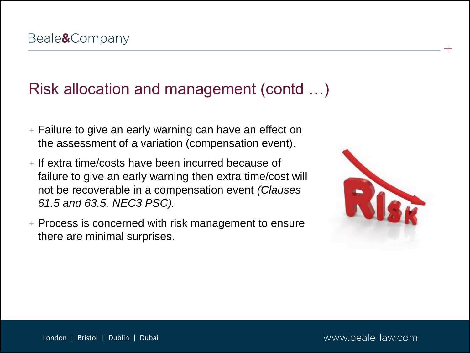# Risk allocation and management (contd …)

- $+$  Failure to give an early warning can have an effect on the assessment of a variation (compensation event).
- $+$  If extra time/costs have been incurred because of failure to give an early warning then extra time/cost will not be recoverable in a compensation event *(Clauses 61.5 and 63.5, NEC3 PSC).*
- $+$  Process is concerned with risk management to ensure there are minimal surprises.

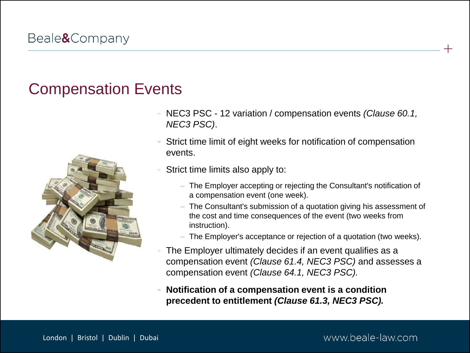#### Compensation Events



- NEC3 PSC 12 variation / compensation events *(Clause 60.1, NEC3 PSC)*.
- Strict time limit of eight weeks for notification of compensation events.
- Strict time limits also apply to:
	- The Employer accepting or rejecting the Consultant's notification of a compensation event (one week).
	- The Consultant's submission of a quotation giving his assessment of the cost and time consequences of the event (two weeks from instruction).
	- The Employer's acceptance or rejection of a quotation (two weeks).
- The Employer ultimately decides if an event qualifies as a compensation event *(Clause 61.4, NEC3 PSC)* and assesses a compensation event *(Clause 64.1, NEC3 PSC).*
- **Notification of a compensation event is a condition precedent to entitlement** *(Clause 61.3, NEC3 PSC).*

www.beale-law.com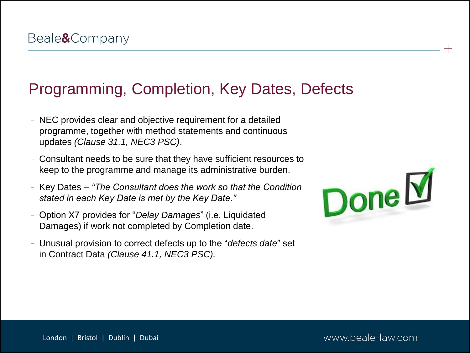#### Programming, Completion, Key Dates, Defects

- NEC provides clear and objective requirement for a detailed programme, together with method statements and continuous updates *(Clause 31.1, NEC3 PSC)*.
- Consultant needs to be sure that they have sufficient resources to keep to the programme and manage its administrative burden.
- Key Dates *"The Consultant does the work so that the Condition stated in each Key Date is met by the Key Date."*
- Option X7 provides for "*Delay Damages*" (i.e. Liquidated Damages) if work not completed by Completion date.
- Unusual provision to correct defects up to the "*defects date*" set in Contract Data *(Clause 41.1, NEC3 PSC).*



 $+$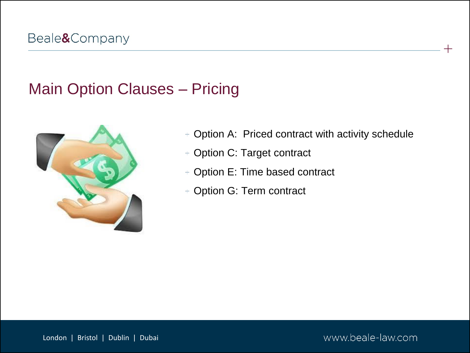# Main Option Clauses – Pricing



- Option A: Priced contract with activity schedule  $\color{red}+$
- + Option C: Target contract
- Option E: Time based contract
- Option G: Term contract  $\pm$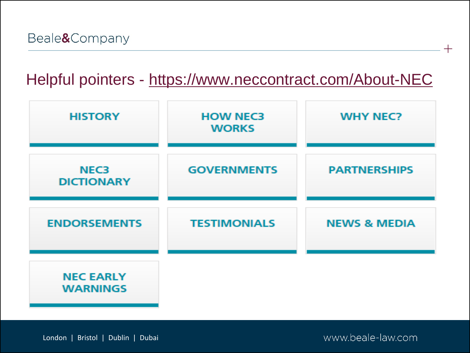### Helpful pointers - <https://www.neccontract.com/About-NEC>

| <b>HISTORY</b>                      | <b>HOW NEC3</b><br><b>WORKS</b> | <b>WHY NEC?</b>         |
|-------------------------------------|---------------------------------|-------------------------|
| <b>NEC3</b><br><b>DICTIONARY</b>    | <b>GOVERNMENTS</b>              | <b>PARTNERSHIPS</b>     |
| <b>ENDORSEMENTS</b>                 | <b>TESTIMONIALS</b>             | <b>NEWS &amp; MEDIA</b> |
| <b>NEC EARLY</b><br><b>WARNINGS</b> |                                 |                         |

London | Bristol | Dublin | Dubai

www.beale-law.com

 $\, + \,$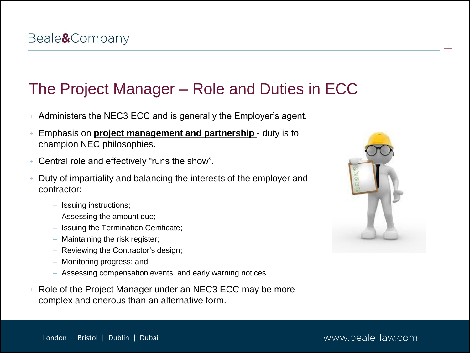### The Project Manager – Role and Duties in ECC

- Administers the NEC3 ECC and is generally the Employer's agent.
- Emphasis on **project management and partnership**  duty is to champion NEC philosophies.
- Central role and effectively "runs the show".
- Duty of impartiality and balancing the interests of the employer and contractor:
	- Issuing instructions;
	- Assessing the amount due;
	- Issuing the Termination Certificate;
	- Maintaining the risk register;
	- Reviewing the Contractor's design;
	- Monitoring progress; and
	- Assessing compensation events and early warning notices.
- Role of the Project Manager under an NEC3 ECC may be more complex and onerous than an alternative form.



 $+$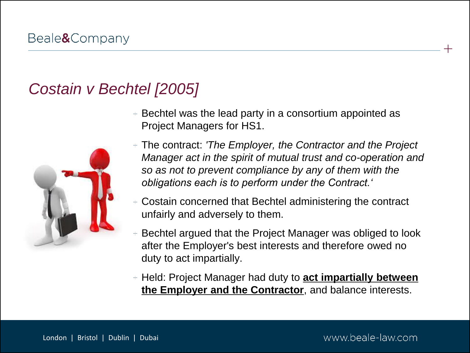# *Costain v Bechtel [2005]*



- $+$  Bechtel was the lead party in a consortium appointed as Project Managers for HS1.
- The contract: *'The Employer, the Contractor and the Project Manager act in the spirit of mutual trust and co-operation and so as not to prevent compliance by any of them with the obligations each is to perform under the Contract.'*
- Costain concerned that Bechtel administering the contract unfairly and adversely to them.
- Bechtel argued that the Project Manager was obliged to look after the Employer's best interests and therefore owed no duty to act impartially.
- Held: Project Manager had duty to **act impartially between the Employer and the Contractor**, and balance interests.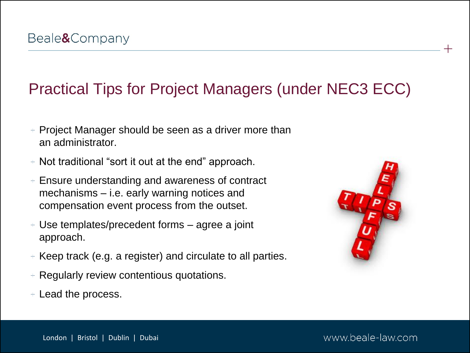# Practical Tips for Project Managers (under NEC3 ECC)

- $+$  Project Manager should be seen as a driver more than an administrator.
- $+$  Not traditional "sort it out at the end" approach.
- $+$  Ensure understanding and awareness of contract mechanisms – i.e. early warning notices and compensation event process from the outset.
- Use templates/precedent forms agree a joint approach.
- $+$  Keep track (e.g. a register) and circulate to all parties.
- $+$  Regularly review contentious quotations.
- Lead the process.



 $+$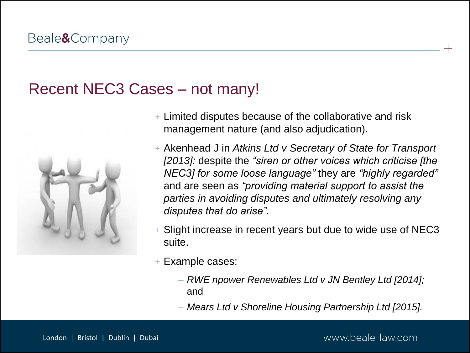#### Recent NEC3 Cases – not many!



- Limited disputes because of the collaborative and risk management nature (and also adjudication).
- Akenhead J in *Atkins Ltd v Secretary of State for Transport [2013]:* despite the *"siren or other voices which criticise [the NEC3] for some loose language"* they are *"highly regarded"*  and are seen as *"providing material support to assist the parties in avoiding disputes and ultimately resolving any disputes that do arise"*.
- Slight increase in recent years but due to wide use of NEC3 suite.
- Example cases:
	- *RWE npower Renewables Ltd v JN Bentley Ltd [2014];*  and
	- *Mears Ltd v Shoreline Housing Partnership Ltd [2015].*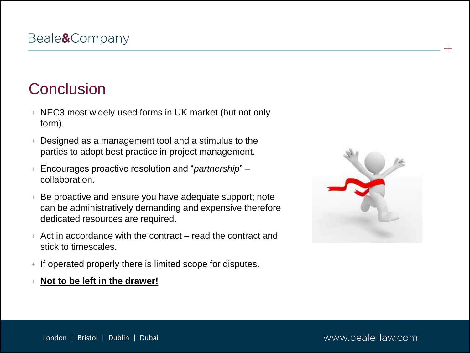# **Conclusion**

- NEC3 most widely used forms in UK market (but not only form).
- Designed as a management tool and a stimulus to the parties to adopt best practice in project management.
- Encourages proactive resolution and "*partnership*" collaboration.
- Be proactive and ensure you have adequate support; note can be administratively demanding and expensive therefore dedicated resources are required.
- $+$  Act in accordance with the contract  $-$  read the contract and stick to timescales.
- If operated properly there is limited scope for disputes.
- **Not to be left in the drawer!**



 $+$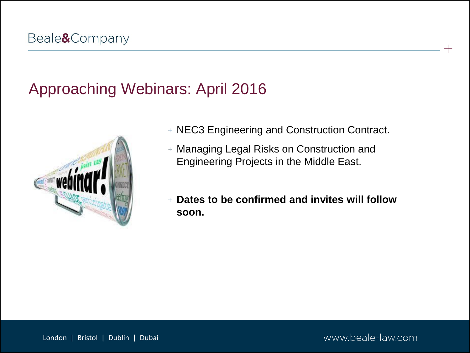# Approaching Webinars: April 2016



- NEC3 Engineering and Construction Contract.
- Managing Legal Risks on Construction and Engineering Projects in the Middle East.
- **Dates to be confirmed and invites will follow soon.**

London | Bristol | Dublin | Dubai

www.beale-law.com